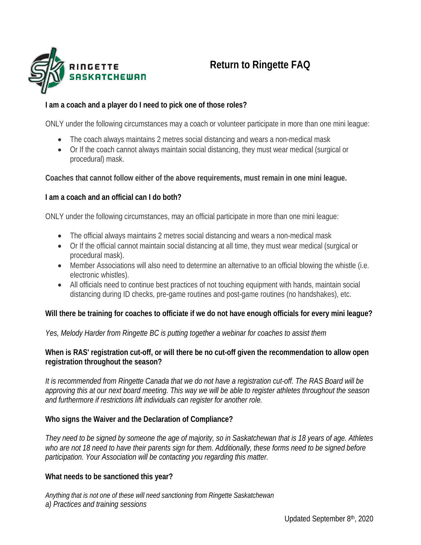

# **Return to Ringette FAQ**

# **I am a coach and a player do I need to pick one of those roles?**

ONLY under the following circumstances may a coach or volunteer participate in more than one mini league:

- The coach always maintains 2 metres social distancing and wears a non-medical mask
- Or If the coach cannot always maintain social distancing, they must wear medical (surgical or procedural) mask.

# **Coaches that cannot follow either of the above requirements, must remain in one mini league.**

#### **I am a coach and an official can I do both?**

ONLY under the following circumstances, may an official participate in more than one mini league:

- The official always maintains 2 metres social distancing and wears a non-medical mask
- Or If the official cannot maintain social distancing at all time, they must wear medical (surgical or procedural mask).
- Member Associations will also need to determine an alternative to an official blowing the whistle (i.e. electronic whistles).
- All officials need to continue best practices of not touching equipment with hands, maintain social distancing during ID checks, pre-game routines and post-game routines (no handshakes), etc.

# **Will there be training for coaches to officiate if we do not have enough officials for every mini league?**

*Yes, Melody Harder from Ringette BC is putting together a webinar for coaches to assist them*

#### **When is RAS' registration cut-off, or will there be no cut-off given the recommendation to allow open registration throughout the season?**

*It is recommended from Ringette Canada that we do not have a registration cut-off. The RAS Board will be approving this at our next board meeting. This way we will be able to register athletes throughout the season and furthermore if restrictions lift individuals can register for another role.*

# **Who signs the Waiver and the Declaration of Compliance?**

*They need to be signed by someone the age of majority, so in Saskatchewan that is 18 years of age. Athletes who are not 18 need to have their parents sign for them. Additionally, these forms need to be signed before participation. Your Association will be contacting you regarding this matter.*

# **What needs to be sanctioned this year?**

*Anything that is not one of these will need sanctioning from Ringette Saskatchewan a) Practices and training sessions*